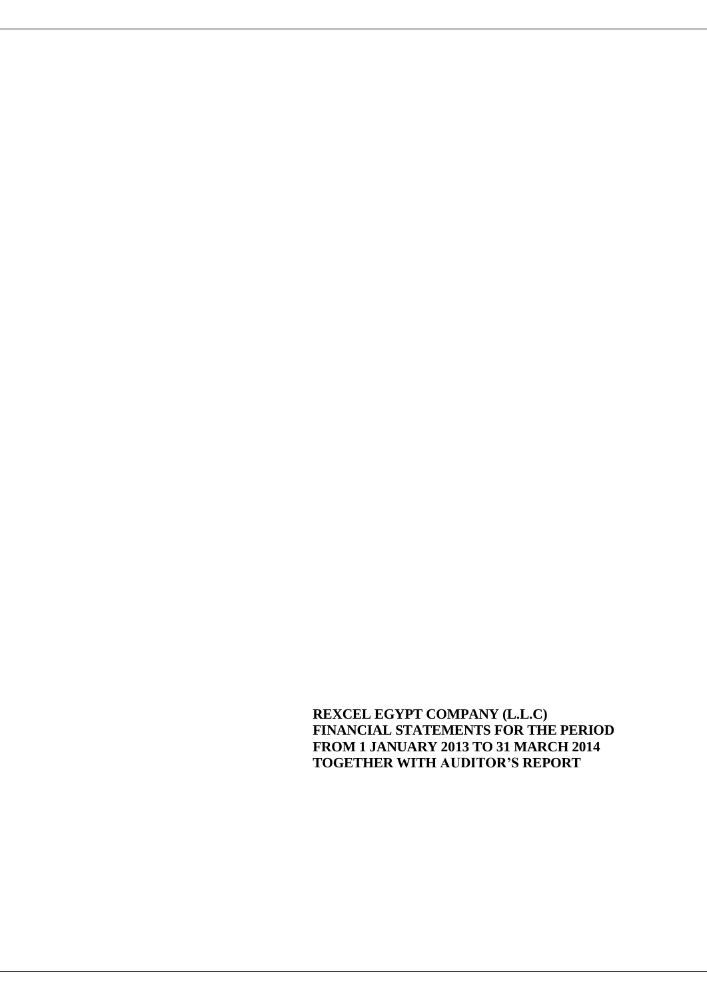**REXCEL EGYPT COMPANY (L.L.C) FINANCIAL STATEMENTS FOR THE PERIOD FROM 1 JANUARY 2013 TO 31 MARCH 2014 TOGETHER WITH AUDITOR'S REPORT**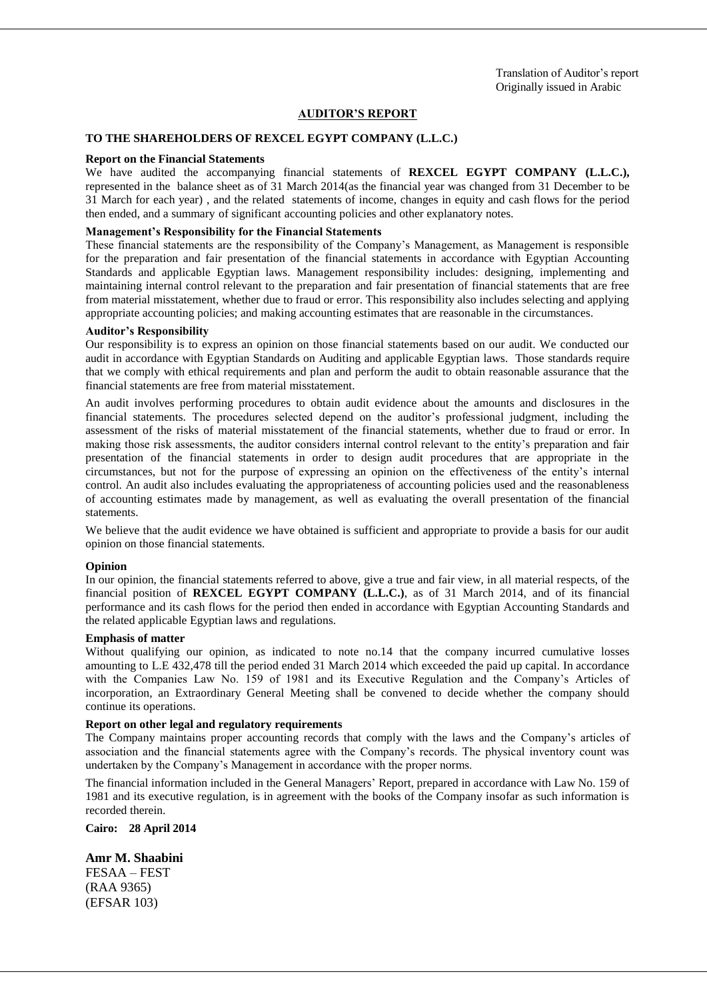#### **AUDITOR'S REPORT**

#### **TO THE SHAREHOLDERS OF REXCEL EGYPT COMPANY (L.L.C.)**

#### **Report on the Financial Statements**

We have audited the accompanying financial statements of **REXCEL EGYPT COMPANY (L.L.C.),** represented in the balance sheet as of 31 March 2014(as the financial year was changed from 31 December to be 31 March for each year) , and the related statements of income, changes in equity and cash flows for the period then ended, and a summary of significant accounting policies and other explanatory notes.

#### **Management's Responsibility for the Financial Statements**

These financial statements are the responsibility of the Company's Management, as Management is responsible for the preparation and fair presentation of the financial statements in accordance with Egyptian Accounting Standards and applicable Egyptian laws. Management responsibility includes: designing, implementing and maintaining internal control relevant to the preparation and fair presentation of financial statements that are free from material misstatement, whether due to fraud or error. This responsibility also includes selecting and applying appropriate accounting policies; and making accounting estimates that are reasonable in the circumstances.

#### **Auditor's Responsibility**

Our responsibility is to express an opinion on those financial statements based on our audit. We conducted our audit in accordance with Egyptian Standards on Auditing and applicable Egyptian laws. Those standards require that we comply with ethical requirements and plan and perform the audit to obtain reasonable assurance that the financial statements are free from material misstatement.

An audit involves performing procedures to obtain audit evidence about the amounts and disclosures in the financial statements. The procedures selected depend on the auditor's professional judgment, including the assessment of the risks of material misstatement of the financial statements, whether due to fraud or error. In making those risk assessments, the auditor considers internal control relevant to the entity's preparation and fair presentation of the financial statements in order to design audit procedures that are appropriate in the circumstances, but not for the purpose of expressing an opinion on the effectiveness of the entity's internal control. An audit also includes evaluating the appropriateness of accounting policies used and the reasonableness of accounting estimates made by management, as well as evaluating the overall presentation of the financial statements.

We believe that the audit evidence we have obtained is sufficient and appropriate to provide a basis for our audit opinion on those financial statements.

#### **Opinion**

In our opinion, the financial statements referred to above, give a true and fair view, in all material respects, of the financial position of **REXCEL EGYPT COMPANY (L.L.C.)**, as of 31 March 2014, and of its financial performance and its cash flows for the period then ended in accordance with Egyptian Accounting Standards and the related applicable Egyptian laws and regulations.

#### **Emphasis of matter**

Without qualifying our opinion, as indicated to note no.14 that the company incurred cumulative losses amounting to L.E 432,478 till the period ended 31 March 2014 which exceeded the paid up capital. In accordance with the Companies Law No. 159 of 1981 and its Executive Regulation and the Company's Articles of incorporation, an Extraordinary General Meeting shall be convened to decide whether the company should continue its operations.

#### **Report on other legal and regulatory requirements**

The Company maintains proper accounting records that comply with the laws and the Company's articles of association and the financial statements agree with the Company's records. The physical inventory count was undertaken by the Company's Management in accordance with the proper norms.

The financial information included in the General Managers' Report, prepared in accordance with Law No. 159 of 1981 and its executive regulation, is in agreement with the books of the Company insofar as such information is recorded therein.

**Cairo: 28 April 2014**

#### **Amr M. Shaabini**

FESAA – FEST (RAA 9365) (EFSAR 103)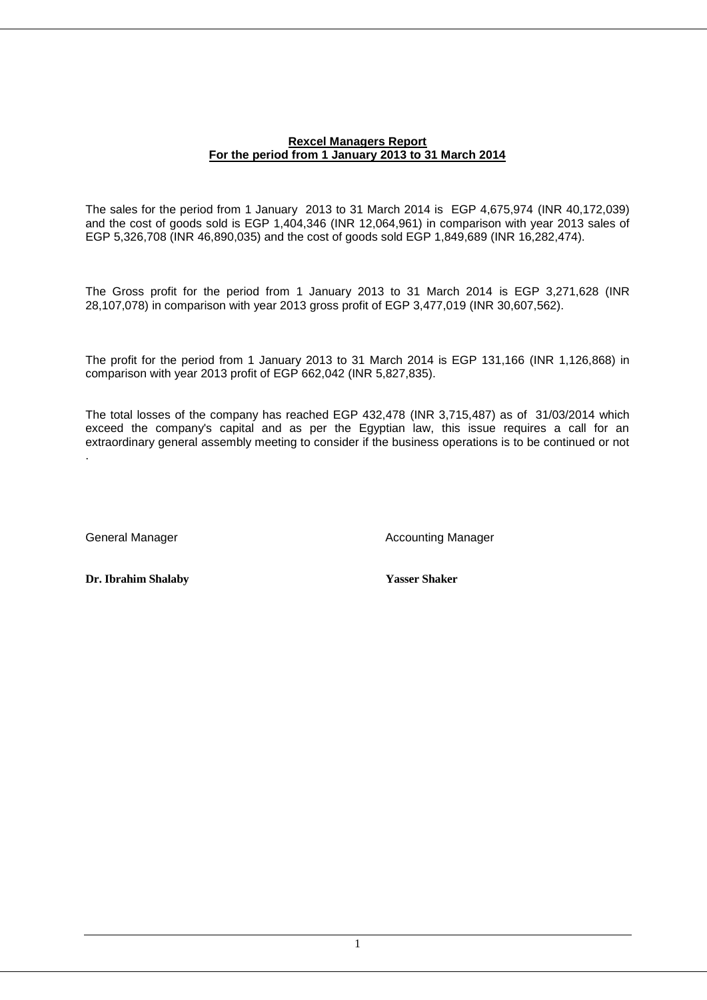### **Rexcel Managers Report For the period from 1 January 2013 to 31 March 2014**

The sales for the period from 1 January 2013 to 31 March 2014 is EGP 4,675,974 (INR 40,172,039) and the cost of goods sold is EGP 1,404,346 (INR 12,064,961) in comparison with year 2013 sales of EGP 5,326,708 (INR 46,890,035) and the cost of goods sold EGP 1,849,689 (INR 16,282,474).

The Gross profit for the period from 1 January 2013 to 31 March 2014 is EGP 3,271,628 (INR 28,107,078) in comparison with year 2013 gross profit of EGP 3,477,019 (INR 30,607,562).

The profit for the period from 1 January 2013 to 31 March 2014 is EGP 131,166 (INR 1,126,868) in comparison with year 2013 profit of EGP 662,042 (INR 5,827,835).

The total losses of the company has reached EGP 432,478 (INR 3,715,487) as of 31/03/2014 which exceed the company's capital and as per the Egyptian law, this issue requires a call for an extraordinary general assembly meeting to consider if the business operations is to be continued or not .

General Manager **Accounting Manager** Accounting Manager

**Dr. Ibrahim Shalaby Yasser Shaker**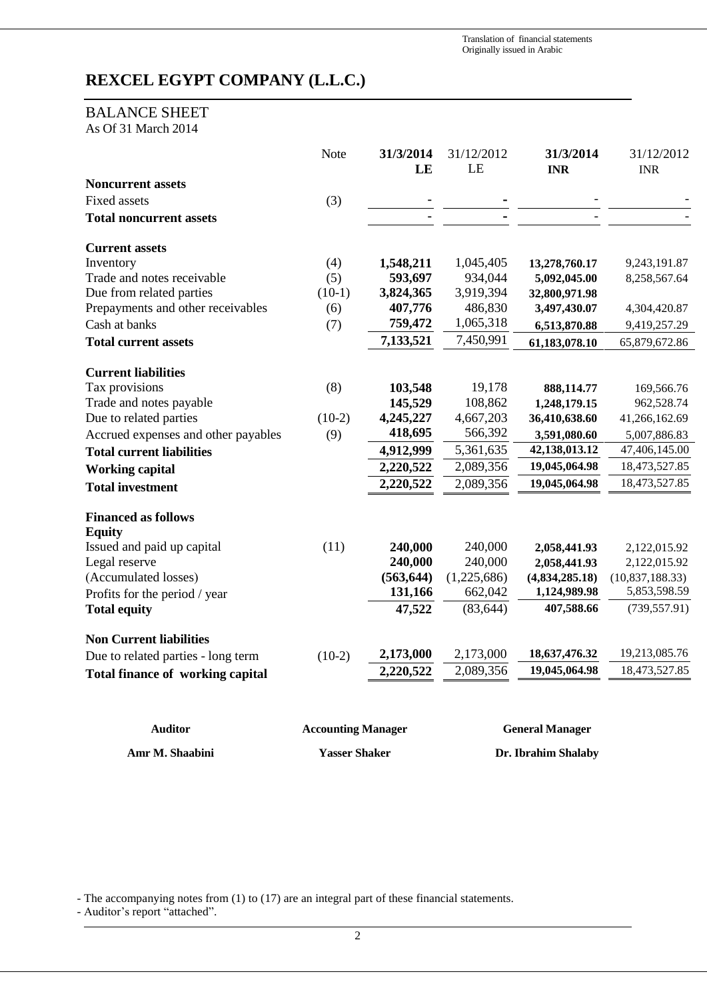Translation of financial statements Originally issued in Arabic

## **REXCEL EGYPT COMPANY (L.L.C.)**

## BALANCE SHEET

As Of 31 March 2014

|                                         | Note     | 31/3/2014<br>LE | 31/12/2012<br>LE | 31/3/2014<br><b>INR</b> | 31/12/2012<br><b>INR</b> |
|-----------------------------------------|----------|-----------------|------------------|-------------------------|--------------------------|
| <b>Noncurrent assets</b>                |          |                 |                  |                         |                          |
| <b>Fixed assets</b>                     | (3)      |                 |                  |                         |                          |
| <b>Total noncurrent assets</b>          |          |                 |                  |                         |                          |
| <b>Current assets</b>                   |          |                 |                  |                         |                          |
| Inventory                               | (4)      | 1,548,211       | 1,045,405        | 13,278,760.17           | 9,243,191.87             |
| Trade and notes receivable              | (5)      | 593,697         | 934,044          | 5,092,045.00            | 8,258,567.64             |
| Due from related parties                | $(10-1)$ | 3,824,365       | 3,919,394        | 32,800,971.98           |                          |
| Prepayments and other receivables       | (6)      | 407,776         | 486,830          | 3,497,430.07            | 4,304,420.87             |
| Cash at banks                           | (7)      | 759,472         | 1,065,318        | 6,513,870.88            | 9,419,257.29             |
| <b>Total current assets</b>             |          | 7,133,521       | 7,450,991        | 61,183,078.10           | 65,879,672.86            |
| <b>Current liabilities</b>              |          |                 |                  |                         |                          |
| Tax provisions                          | (8)      | 103,548         | 19,178           | 888,114.77              | 169,566.76               |
| Trade and notes payable                 |          | 145,529         | 108,862          | 1,248,179.15            | 962,528.74               |
| Due to related parties                  | $(10-2)$ | 4,245,227       | 4,667,203        | 36,410,638.60           | 41,266,162.69            |
| Accrued expenses and other payables     | (9)      | 418,695         | 566,392          | 3,591,080.60            | 5,007,886.83             |
| <b>Total current liabilities</b>        |          | 4,912,999       | 5,361,635        | 42,138,013.12           | 47,406,145.00            |
| <b>Working capital</b>                  |          | 2,220,522       | 2,089,356        | 19,045,064.98           | 18,473,527.85            |
| <b>Total investment</b>                 |          | 2,220,522       | 2,089,356        | 19,045,064.98           | 18,473,527.85            |
| <b>Financed as follows</b>              |          |                 |                  |                         |                          |
| <b>Equity</b>                           |          |                 |                  |                         |                          |
| Issued and paid up capital              | (11)     | 240,000         | 240,000          | 2,058,441.93            | 2,122,015.92             |
| Legal reserve                           |          | 240,000         | 240,000          | 2,058,441.93            | 2,122,015.92             |
| (Accumulated losses)                    |          | (563, 644)      | (1,225,686)      | (4,834,285.18)          | (10, 837, 188.33)        |
| Profits for the period / year           |          | 131,166         | 662,042          | 1,124,989.98            | 5,853,598.59             |
| <b>Total equity</b>                     |          | 47,522          | (83, 644)        | 407,588.66              | (739, 557.91)            |
| <b>Non Current liabilities</b>          |          |                 |                  |                         |                          |
| Due to related parties - long term      | $(10-2)$ | 2,173,000       | 2,173,000        | 18,637,476.32           | 19,213,085.76            |
| <b>Total finance of working capital</b> |          | 2,220,522       | 2,089,356        | 19,045,064.98           | 18,473,527.85            |
|                                         |          |                 |                  |                         |                          |

| <b>Auditor</b>  | <b>Accounting Manager</b> | <b>General Manager</b> |
|-----------------|---------------------------|------------------------|
| Amr M. Shaabini | <b>Yasser Shaker</b>      | Dr. Ibrahim Shalaby    |

- The accompanying notes from (1) to (17) are an integral part of these financial statements.

- Auditor's report "attached".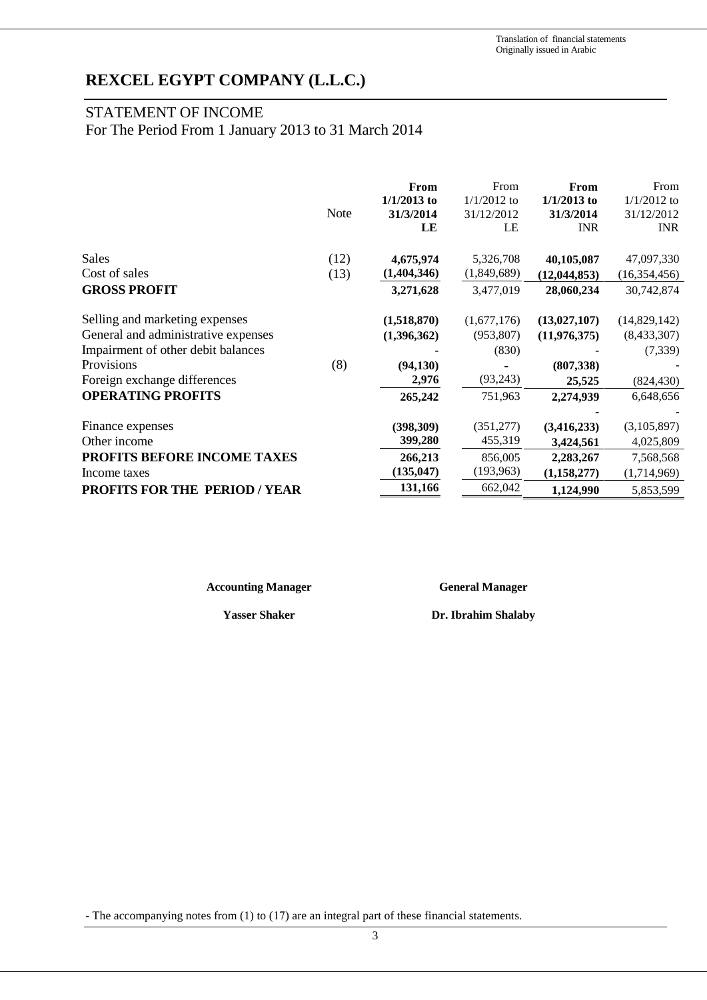## STATEMENT OF INCOME

For The Period From 1 January 2013 to 31 March 2014

|                                      |             | From          | From          | From           | From           |
|--------------------------------------|-------------|---------------|---------------|----------------|----------------|
|                                      |             | $1/1/2013$ to | $1/1/2012$ to | $1/1/2013$ to  | $1/1/2012$ to  |
|                                      | <b>Note</b> | 31/3/2014     | 31/12/2012    | 31/3/2014      | 31/12/2012     |
|                                      |             | LE            | LE            | <b>INR</b>     | <b>INR</b>     |
| Sales                                | (12)        | 4,675,974     | 5,326,708     | 40,105,087     | 47,097,330     |
| Cost of sales                        | (13)        | (1,404,346)   | (1,849,689)   | (12, 044, 853) | (16, 354, 456) |
| <b>GROSS PROFIT</b>                  |             | 3,271,628     | 3,477,019     | 28,060,234     | 30,742,874     |
| Selling and marketing expenses       |             | (1,518,870)   | (1,677,176)   | (13,027,107)   | (14,829,142)   |
| General and administrative expenses  |             | (1,396,362)   | (953, 807)    | (11, 976, 375) | (8,433,307)    |
| Impairment of other debit balances   |             |               | (830)         |                | (7, 339)       |
| Provisions                           | (8)         | (94, 130)     |               | (807, 338)     |                |
| Foreign exchange differences         |             | 2,976         | (93,243)      | 25,525         | (824, 430)     |
| <b>OPERATING PROFITS</b>             |             | 265,242       | 751,963       | 2,274,939      | 6,648,656      |
|                                      |             |               |               |                |                |
| Finance expenses                     |             | (398, 309)    | (351, 277)    | (3,416,233)    | (3,105,897)    |
| Other income                         |             | 399,280       | 455,319       | 3,424,561      | 4,025,809      |
| <b>PROFITS BEFORE INCOME TAXES</b>   |             | 266,213       | 856,005       | 2,283,267      | 7,568,568      |
| Income taxes                         |             | (135, 047)    | (193, 963)    | (1, 158, 277)  | (1,714,969)    |
| <b>PROFITS FOR THE PERIOD / YEAR</b> |             | 131,166       | 662,042       | 1,124,990      | 5,853,599      |

**Accounting Manager General Manager**

**Yasser Shaker Dr. Ibrahim Shalaby**

- The accompanying notes from (1) to (17) are an integral part of these financial statements.

3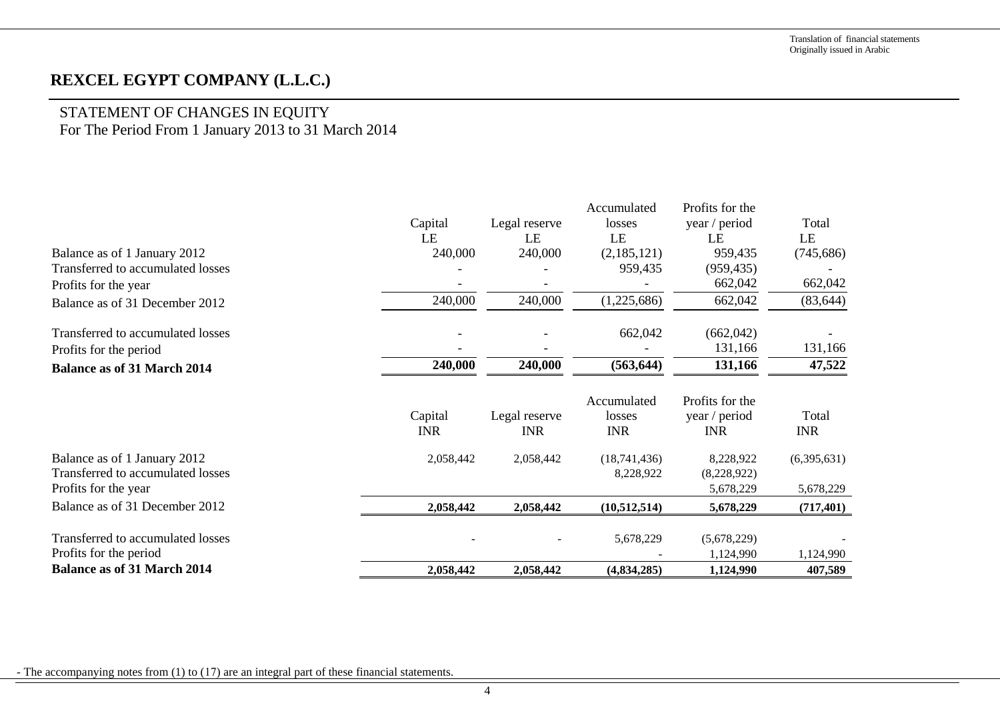# STATEMENT OF CHANGES IN EQUITY

For The Period From 1 January 2013 to 31 March 2014

|                                    |            |               | Accumulated  | Profits for the |             |
|------------------------------------|------------|---------------|--------------|-----------------|-------------|
|                                    | Capital    | Legal reserve | losses       | year / period   | Total       |
|                                    | LE         | LE            | LE           | LE              | LE          |
| Balance as of 1 January 2012       | 240,000    | 240,000       | (2,185,121)  | 959,435         | (745, 686)  |
| Transferred to accumulated losses  |            |               | 959,435      | (959, 435)      |             |
| Profits for the year               |            |               |              | 662,042         | 662,042     |
| Balance as of 31 December 2012     | 240,000    | 240,000       | (1,225,686)  | 662,042         | (83, 644)   |
| Transferred to accumulated losses  |            |               | 662,042      | (662, 042)      |             |
| Profits for the period             |            |               |              | 131,166         | 131,166     |
| <b>Balance as of 31 March 2014</b> | 240,000    | 240,000       | (563, 644)   | 131,166         | 47,522      |
|                                    |            |               | Accumulated  | Profits for the |             |
|                                    | Capital    | Legal reserve | losses       | year / period   | Total       |
|                                    | <b>INR</b> | <b>INR</b>    | <b>INR</b>   | <b>INR</b>      | <b>INR</b>  |
| Balance as of 1 January 2012       | 2,058,442  | 2,058,442     | (18,741,436) | 8,228,922       | (6,395,631) |
| Transferred to accumulated losses  |            |               | 8,228,922    | (8,228,922)     |             |
| Profits for the year               |            |               |              | 5,678,229       | 5,678,229   |
| Balance as of 31 December 2012     | 2,058,442  | 2,058,442     | (10,512,514) | 5,678,229       | (717, 401)  |
| Transferred to accumulated losses  |            |               | 5,678,229    | (5,678,229)     |             |
| Profits for the period             |            |               |              | 1,124,990       | 1,124,990   |
| <b>Balance as of 31 March 2014</b> | 2,058,442  | 2,058,442     | (4,834,285)  | 1,124,990       | 407,589     |

- The accompanying notes from (1) to (17) are an integral part of these financial statements.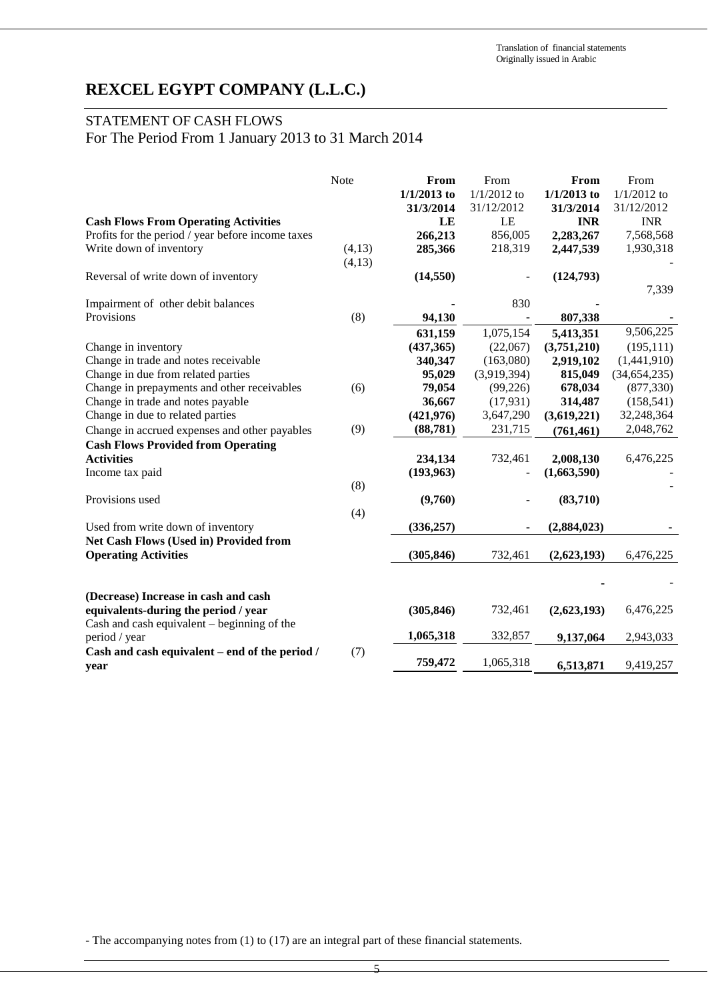## STATEMENT OF CASH FLOWS

For The Period From 1 January 2013 to 31 March 2014

|                                                   | Note   | From<br>$1/1/2013$ to<br>31/3/2014 | From<br>$1/1/2012$ to<br>31/12/2012 | From<br>$1/1/2013$ to<br>31/3/2014 | From<br>$1/1/2012$ to<br>31/12/2012 |
|---------------------------------------------------|--------|------------------------------------|-------------------------------------|------------------------------------|-------------------------------------|
| <b>Cash Flows From Operating Activities</b>       |        | LE                                 | LE                                  | <b>INR</b>                         | <b>INR</b>                          |
| Profits for the period / year before income taxes |        | 266,213                            | 856,005                             | 2,283,267                          | 7,568,568                           |
| Write down of inventory                           | (4,13) | 285,366                            | 218,319                             | 2,447,539                          | 1,930,318                           |
|                                                   | (4,13) |                                    |                                     |                                    |                                     |
| Reversal of write down of inventory               |        | (14, 550)                          |                                     | (124,793)                          |                                     |
|                                                   |        |                                    |                                     |                                    | 7,339                               |
| Impairment of other debit balances                |        |                                    | 830                                 |                                    |                                     |
| Provisions                                        | (8)    | 94,130                             |                                     | 807,338                            |                                     |
|                                                   |        | 631,159                            | 1,075,154                           | 5,413,351                          | 9,506,225                           |
| Change in inventory                               |        | (437, 365)                         | (22,067)                            | (3,751,210)                        | (195, 111)                          |
| Change in trade and notes receivable              |        | 340,347                            | (163,080)                           | 2,919,102                          | (1,441,910)                         |
| Change in due from related parties                |        | 95,029                             | (3,919,394)                         | 815,049                            | (34, 654, 235)                      |
| Change in prepayments and other receivables       | (6)    | 79,054                             | (99, 226)                           | 678,034                            | (877, 330)                          |
| Change in trade and notes payable                 |        | 36,667                             | (17, 931)                           | 314,487                            | (158, 541)                          |
| Change in due to related parties                  |        | (421, 976)                         | 3,647,290                           | (3,619,221)                        | 32,248,364                          |
| Change in accrued expenses and other payables     | (9)    | (88, 781)                          | 231,715                             | (761, 461)                         | 2,048,762                           |
| <b>Cash Flows Provided from Operating</b>         |        |                                    |                                     |                                    |                                     |
| <b>Activities</b>                                 |        | 234,134                            | 732,461                             | 2,008,130                          | 6,476,225                           |
| Income tax paid                                   |        | (193,963)                          |                                     | (1,663,590)                        |                                     |
|                                                   | (8)    |                                    |                                     |                                    |                                     |
| Provisions used                                   |        | (9,760)                            |                                     | (83,710)                           |                                     |
|                                                   | (4)    |                                    |                                     |                                    |                                     |
| Used from write down of inventory                 |        | (336, 257)                         |                                     | (2,884,023)                        |                                     |
| Net Cash Flows (Used in) Provided from            |        |                                    |                                     |                                    |                                     |
| <b>Operating Activities</b>                       |        | (305, 846)                         | 732,461                             | (2,623,193)                        | 6,476,225                           |
|                                                   |        |                                    |                                     |                                    |                                     |
|                                                   |        |                                    |                                     |                                    |                                     |
| (Decrease) Increase in cash and cash              |        |                                    |                                     |                                    |                                     |
| equivalents-during the period / year              |        | (305, 846)                         | 732,461                             | (2,623,193)                        | 6,476,225                           |
| Cash and cash equivalent – beginning of the       |        |                                    |                                     |                                    |                                     |
| period / year                                     |        | 1,065,318                          | 332,857                             | 9,137,064                          | 2,943,033                           |
| Cash and cash equivalent – end of the period /    | (7)    |                                    |                                     |                                    |                                     |
| year                                              |        | 759,472                            | 1,065,318                           | 6,513,871                          | 9,419,257                           |

- The accompanying notes from (1) to (17) are an integral part of these financial statements.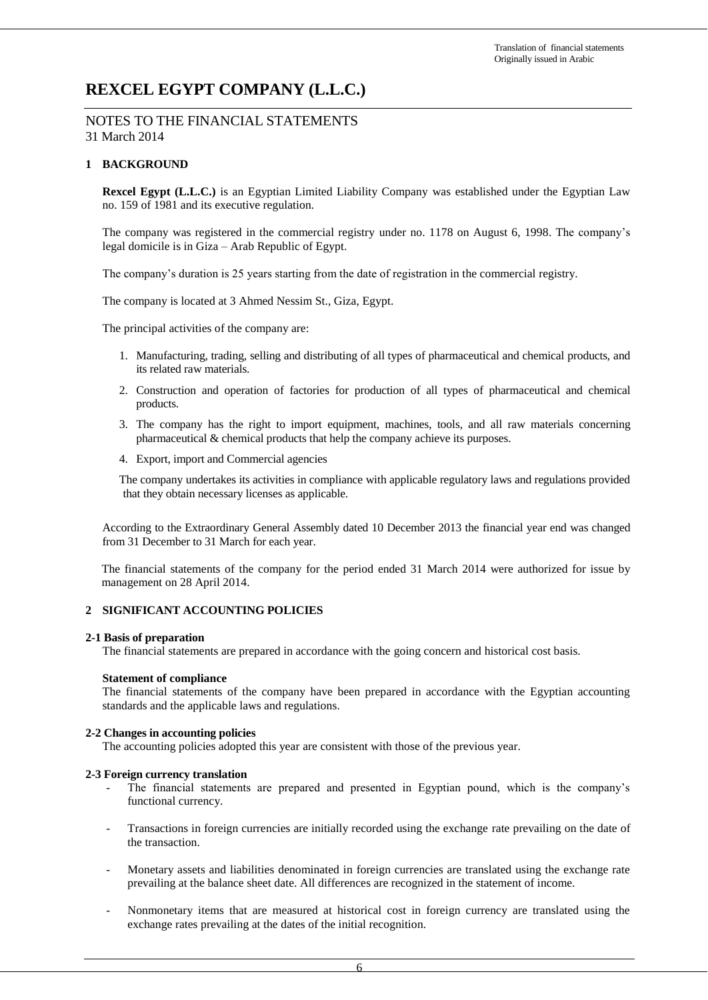NOTES TO THE FINANCIAL STATEMENTS 31 March 2014

### **1 BACKGROUND**

**Rexcel Egypt (L.L.C.)** is an Egyptian Limited Liability Company was established under the Egyptian Law no. 159 of 1981 and its executive regulation.

The company was registered in the commercial registry under no. 1178 on August 6, 1998. The company's legal domicile is in Giza – Arab Republic of Egypt.

The company's duration is 25 years starting from the date of registration in the commercial registry.

The company is located at 3 Ahmed Nessim St., Giza, Egypt.

The principal activities of the company are:

- 1. Manufacturing, trading, selling and distributing of all types of pharmaceutical and chemical products, and its related raw materials.
- 2. Construction and operation of factories for production of all types of pharmaceutical and chemical products.
- 3. The company has the right to import equipment, machines, tools, and all raw materials concerning pharmaceutical & chemical products that help the company achieve its purposes.
- 4. Export, import and Commercial agencies

The company undertakes its activities in compliance with applicable regulatory laws and regulations provided that they obtain necessary licenses as applicable.

According to the Extraordinary General Assembly dated 10 December 2013 the financial year end was changed from 31 December to 31 March for each year.

The financial statements of the company for the period ended 31 March 2014 were authorized for issue by management on 28 April 2014.

#### **2 SIGNIFICANT ACCOUNTING POLICIES**

#### **2-1 Basis of preparation**

The financial statements are prepared in accordance with the going concern and historical cost basis.

#### **Statement of compliance**

The financial statements of the company have been prepared in accordance with the Egyptian accounting standards and the applicable laws and regulations.

#### **2-2 Changes in accounting policies**

The accounting policies adopted this year are consistent with those of the previous year.

#### **2-3 Foreign currency translation**

- The financial statements are prepared and presented in Egyptian pound, which is the company's functional currency.
- Transactions in foreign currencies are initially recorded using the exchange rate prevailing on the date of the transaction.
- Monetary assets and liabilities denominated in foreign currencies are translated using the exchange rate prevailing at the balance sheet date. All differences are recognized in the statement of income.
- Nonmonetary items that are measured at historical cost in foreign currency are translated using the exchange rates prevailing at the dates of the initial recognition.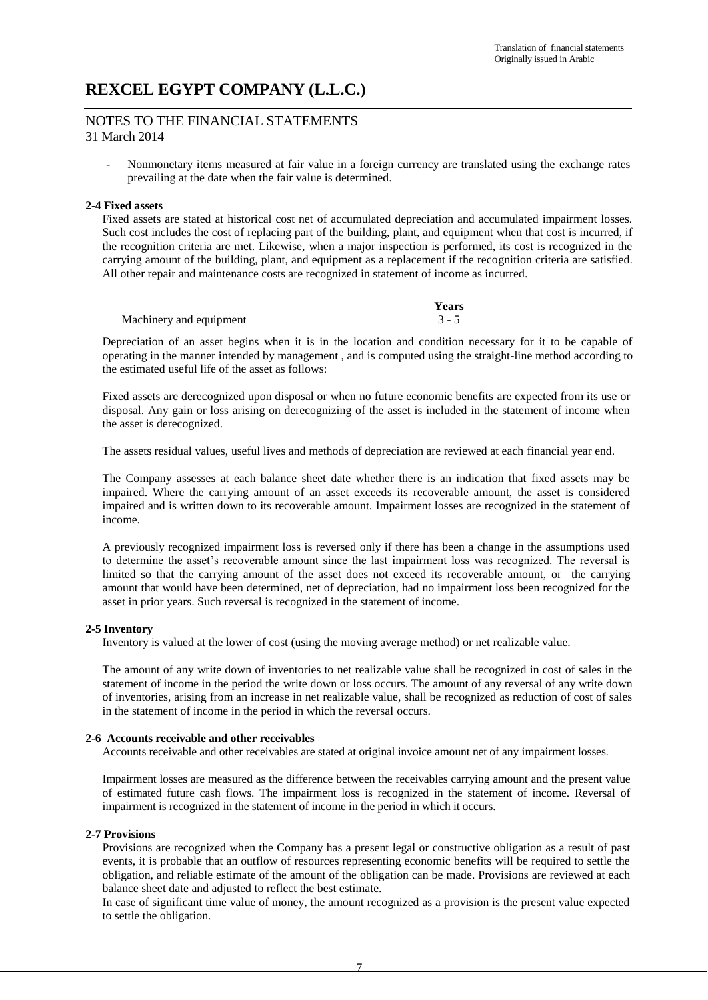### NOTES TO THE FINANCIAL STATEMENTS 31 March 2014

- Nonmonetary items measured at fair value in a foreign currency are translated using the exchange rates prevailing at the date when the fair value is determined.

#### **2-4 Fixed assets**

Fixed assets are stated at historical cost net of accumulated depreciation and accumulated impairment losses. Such cost includes the cost of replacing part of the building, plant, and equipment when that cost is incurred, if the recognition criteria are met. Likewise, when a major inspection is performed, its cost is recognized in the carrying amount of the building, plant, and equipment as a replacement if the recognition criteria are satisfied. All other repair and maintenance costs are recognized in statement of income as incurred.

|                         | Years   |
|-------------------------|---------|
| Machinery and equipment | $3 - 5$ |

Depreciation of an asset begins when it is in the location and condition necessary for it to be capable of operating in the manner intended by management , and is computed using the straight-line method according to the estimated useful life of the asset as follows:

Fixed assets are derecognized upon disposal or when no future economic benefits are expected from its use or disposal. Any gain or loss arising on derecognizing of the asset is included in the statement of income when the asset is derecognized.

The assets residual values, useful lives and methods of depreciation are reviewed at each financial year end.

The Company assesses at each balance sheet date whether there is an indication that fixed assets may be impaired. Where the carrying amount of an asset exceeds its recoverable amount, the asset is considered impaired and is written down to its recoverable amount. Impairment losses are recognized in the statement of income.

A previously recognized impairment loss is reversed only if there has been a change in the assumptions used to determine the asset's recoverable amount since the last impairment loss was recognized. The reversal is limited so that the carrying amount of the asset does not exceed its recoverable amount, or the carrying amount that would have been determined, net of depreciation, had no impairment loss been recognized for the asset in prior years. Such reversal is recognized in the statement of income.

#### **2-5 Inventory**

Inventory is valued at the lower of cost (using the moving average method) or net realizable value.

The amount of any write down of inventories to net realizable value shall be recognized in cost of sales in the statement of income in the period the write down or loss occurs. The amount of any reversal of any write down of inventories, arising from an increase in net realizable value, shall be recognized as reduction of cost of sales in the statement of income in the period in which the reversal occurs.

#### **2-6 Accounts receivable and other receivables**

Accounts receivable and other receivables are stated at original invoice amount net of any impairment losses.

Impairment losses are measured as the difference between the receivables carrying amount and the present value of estimated future cash flows. The impairment loss is recognized in the statement of income. Reversal of impairment is recognized in the statement of income in the period in which it occurs.

#### **2-7 Provisions**

Provisions are recognized when the Company has a present legal or constructive obligation as a result of past events, it is probable that an outflow of resources representing economic benefits will be required to settle the obligation, and reliable estimate of the amount of the obligation can be made. Provisions are reviewed at each balance sheet date and adjusted to reflect the best estimate.

In case of significant time value of money, the amount recognized as a provision is the present value expected to settle the obligation.

7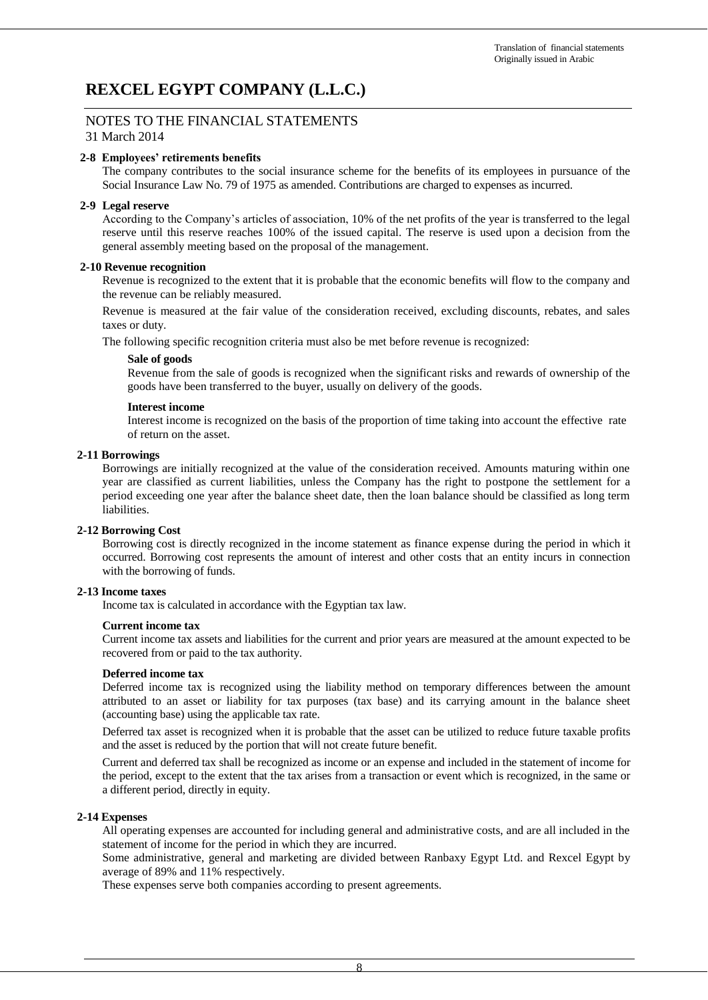## NOTES TO THE FINANCIAL STATEMENTS

31 March 2014

#### **2-8 Employees' retirements benefits**

The company contributes to the social insurance scheme for the benefits of its employees in pursuance of the Social Insurance Law No. 79 of 1975 as amended. Contributions are charged to expenses as incurred.

#### **2-9 Legal reserve**

According to the Company's articles of association, 10% of the net profits of the year is transferred to the legal reserve until this reserve reaches 100% of the issued capital. The reserve is used upon a decision from the general assembly meeting based on the proposal of the management.

#### **2-10 Revenue recognition**

Revenue is recognized to the extent that it is probable that the economic benefits will flow to the company and the revenue can be reliably measured.

Revenue is measured at the fair value of the consideration received, excluding discounts, rebates, and sales taxes or duty.

The following specific recognition criteria must also be met before revenue is recognized:

#### **Sale of goods**

Revenue from the sale of goods is recognized when the significant risks and rewards of ownership of the goods have been transferred to the buyer, usually on delivery of the goods.

#### **Interest income**

Interest income is recognized on the basis of the proportion of time taking into account the effective rate of return on the asset.

#### **2-11 Borrowings**

Borrowings are initially recognized at the value of the consideration received. Amounts maturing within one year are classified as current liabilities, unless the Company has the right to postpone the settlement for a period exceeding one year after the balance sheet date, then the loan balance should be classified as long term liabilities.

#### **2-12 Borrowing Cost**

Borrowing cost is directly recognized in the income statement as finance expense during the period in which it occurred. Borrowing cost represents the amount of interest and other costs that an entity incurs in connection with the borrowing of funds.

#### **2-13 Income taxes**

Income tax is calculated in accordance with the Egyptian tax law.

#### **Current income tax**

Current income tax assets and liabilities for the current and prior years are measured at the amount expected to be recovered from or paid to the tax authority.

#### **Deferred income tax**

Deferred income tax is recognized using the liability method on temporary differences between the amount attributed to an asset or liability for tax purposes (tax base) and its carrying amount in the balance sheet (accounting base) using the applicable tax rate.

Deferred tax asset is recognized when it is probable that the asset can be utilized to reduce future taxable profits and the asset is reduced by the portion that will not create future benefit.

Current and deferred tax shall be recognized as income or an expense and included in the statement of income for the period, except to the extent that the tax arises from a transaction or event which is recognized, in the same or a different period, directly in equity.

#### **2-14 Expenses**

All operating expenses are accounted for including general and administrative costs, and are all included in the statement of income for the period in which they are incurred.

Some administrative, general and marketing are divided between Ranbaxy Egypt Ltd. and Rexcel Egypt by average of 89% and 11% respectively.

These expenses serve both companies according to present agreements.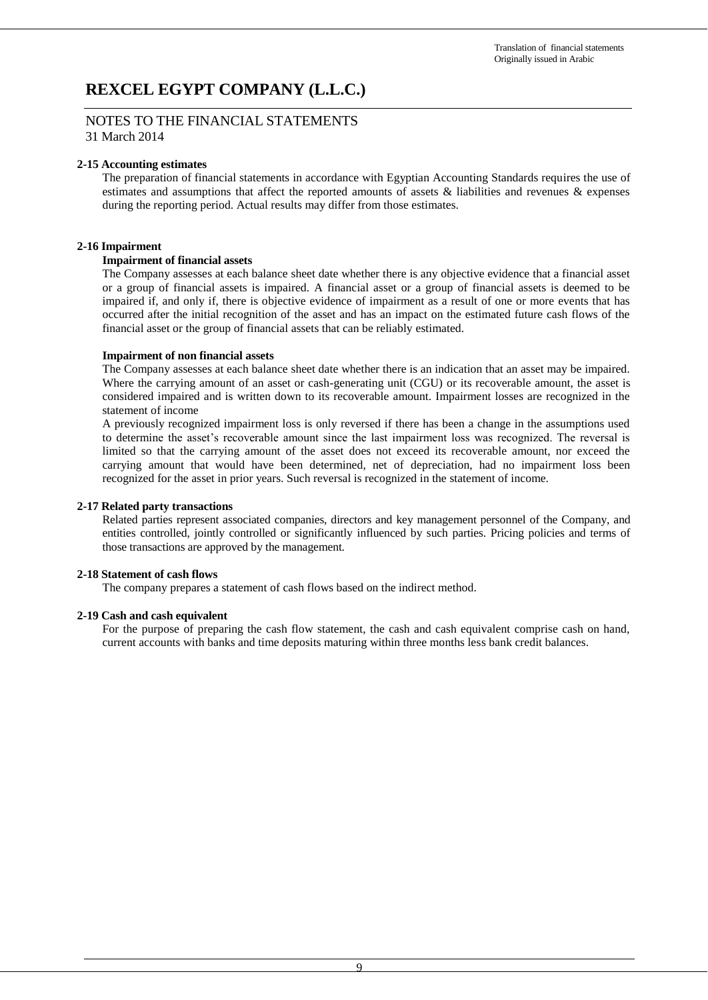NOTES TO THE FINANCIAL STATEMENTS 31 March 2014

#### **2-15 Accounting estimates**

The preparation of financial statements in accordance with Egyptian Accounting Standards requires the use of estimates and assumptions that affect the reported amounts of assets & liabilities and revenues & expenses during the reporting period. Actual results may differ from those estimates.

#### **2-16 Impairment**

#### **Impairment of financial assets**

The Company assesses at each balance sheet date whether there is any objective evidence that a financial asset or a group of financial assets is impaired. A financial asset or a group of financial assets is deemed to be impaired if, and only if, there is objective evidence of impairment as a result of one or more events that has occurred after the initial recognition of the asset and has an impact on the estimated future cash flows of the financial asset or the group of financial assets that can be reliably estimated.

#### **Impairment of non financial assets**

The Company assesses at each balance sheet date whether there is an indication that an asset may be impaired. Where the carrying amount of an asset or cash-generating unit (CGU) or its recoverable amount, the asset is considered impaired and is written down to its recoverable amount. Impairment losses are recognized in the statement of income

A previously recognized impairment loss is only reversed if there has been a change in the assumptions used to determine the asset's recoverable amount since the last impairment loss was recognized. The reversal is limited so that the carrying amount of the asset does not exceed its recoverable amount, nor exceed the carrying amount that would have been determined, net of depreciation, had no impairment loss been recognized for the asset in prior years. Such reversal is recognized in the statement of income.

#### **2-17 Related party transactions**

Related parties represent associated companies, directors and key management personnel of the Company, and entities controlled, jointly controlled or significantly influenced by such parties. Pricing policies and terms of those transactions are approved by the management.

#### **2-18 Statement of cash flows**

The company prepares a statement of cash flows based on the indirect method.

#### **2-19 Cash and cash equivalent**

For the purpose of preparing the cash flow statement, the cash and cash equivalent comprise cash on hand, current accounts with banks and time deposits maturing within three months less bank credit balances.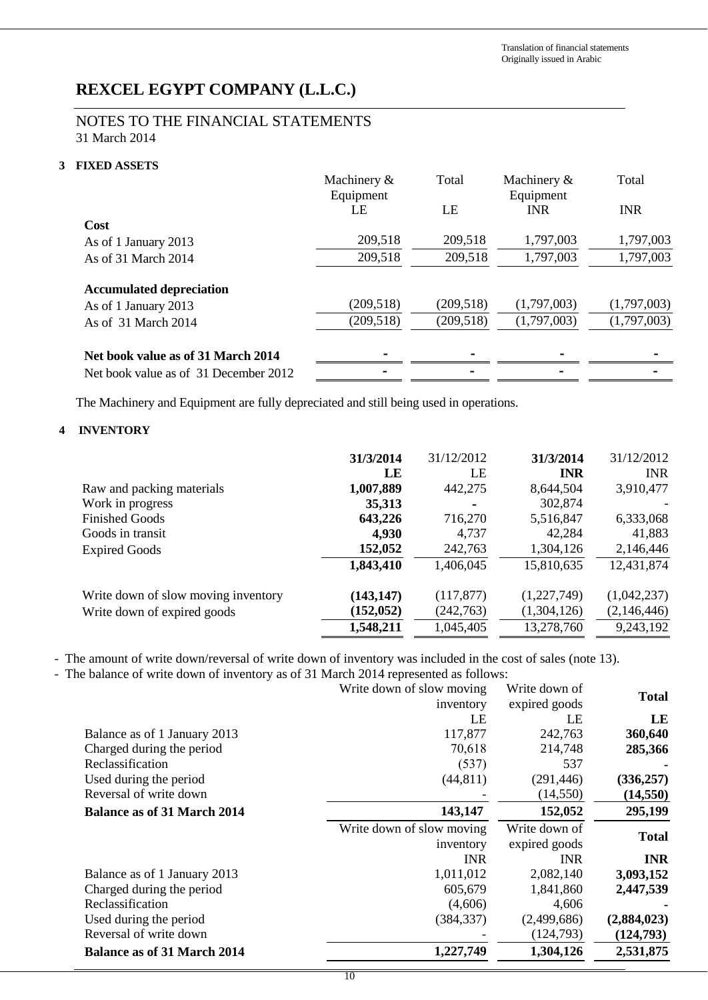## NOTES TO THE FINANCIAL STATEMENTS 31 March 2014

### **3 FIXED ASSETS**

|                                       | Machinery &<br>Equipment | Total      | Machinery &<br>Equipment | Total       |
|---------------------------------------|--------------------------|------------|--------------------------|-------------|
|                                       | LE                       | LE         | <b>INR</b>               | <b>INR</b>  |
| Cost                                  |                          |            |                          |             |
| As of 1 January 2013                  | 209,518                  | 209,518    | 1,797,003                | 1,797,003   |
| As of 31 March 2014                   | 209,518                  | 209,518    | 1,797,003                | 1,797,003   |
| <b>Accumulated depreciation</b>       |                          |            |                          |             |
| As of 1 January 2013                  | (209, 518)               | (209, 518) | (1,797,003)              | (1,797,003) |
| As of 31 March 2014                   | (209, 518)               | (209, 518) | (1,797,003)              | (1,797,003) |
| Net book value as of 31 March 2014    |                          |            |                          |             |
| Net book value as of 31 December 2012 |                          |            |                          |             |

The Machinery and Equipment are fully depreciated and still being used in operations.

### **4 INVENTORY**

|                                     | 31/3/2014  | 31/12/2012 | 31/3/2014   | 31/12/2012  |
|-------------------------------------|------------|------------|-------------|-------------|
|                                     | LE         | LE         | <b>INR</b>  | <b>INR</b>  |
| Raw and packing materials           | 1,007,889  | 442,275    | 8,644,504   | 3,910,477   |
| Work in progress                    | 35,313     | ۰          | 302,874     |             |
| <b>Finished Goods</b>               | 643,226    | 716,270    | 5,516,847   | 6,333,068   |
| Goods in transit                    | 4,930      | 4,737      | 42,284      | 41,883      |
| <b>Expired Goods</b>                | 152,052    | 242,763    | 1,304,126   | 2,146,446   |
|                                     | 1,843,410  | 1,406,045  | 15,810,635  | 12,431,874  |
| Write down of slow moving inventory | (143, 147) | (117, 877) | (1,227,749) | (1,042,237) |
| Write down of expired goods         | (152, 052) | (242,763)  | (1,304,126) | (2,146,446) |
|                                     | 1,548,211  | 1,045,405  | 13,278,760  | 9,243,192   |

- The amount of write down/reversal of write down of inventory was included in the cost of sales (note 13).

- The balance of write down of inventory as of 31 March 2014 represented as follows:

|                                    | Write down of slow moving | Write down of | <b>Total</b> |
|------------------------------------|---------------------------|---------------|--------------|
|                                    | inventory                 | expired goods |              |
|                                    | LE                        | LE            | LE           |
| Balance as of 1 January 2013       | 117,877                   | 242,763       | 360,640      |
| Charged during the period          | 70,618                    | 214,748       | 285,366      |
| Reclassification                   | (537)                     | 537           |              |
| Used during the period             | (44, 811)                 | (291, 446)    | (336, 257)   |
| Reversal of write down             |                           | (14, 550)     | (14, 550)    |
| <b>Balance as of 31 March 2014</b> | 143,147                   | 152,052       | 295,199      |
|                                    | Write down of slow moving | Write down of | <b>Total</b> |
|                                    | inventory                 | expired goods |              |
|                                    | <b>INR</b>                | <b>INR</b>    | <b>INR</b>   |
| Balance as of 1 January 2013       | 1,011,012                 | 2,082,140     | 3,093,152    |
| Charged during the period          | 605,679                   | 1,841,860     | 2,447,539    |
| Reclassification                   | (4,606)                   | 4,606         |              |
| Used during the period             | (384, 337)                | (2,499,686)   | (2,884,023)  |
| Reversal of write down             |                           | (124,793)     | (124,793)    |
| <b>Balance as of 31 March 2014</b> | 1,227,749                 | 1,304,126     | 2,531,875    |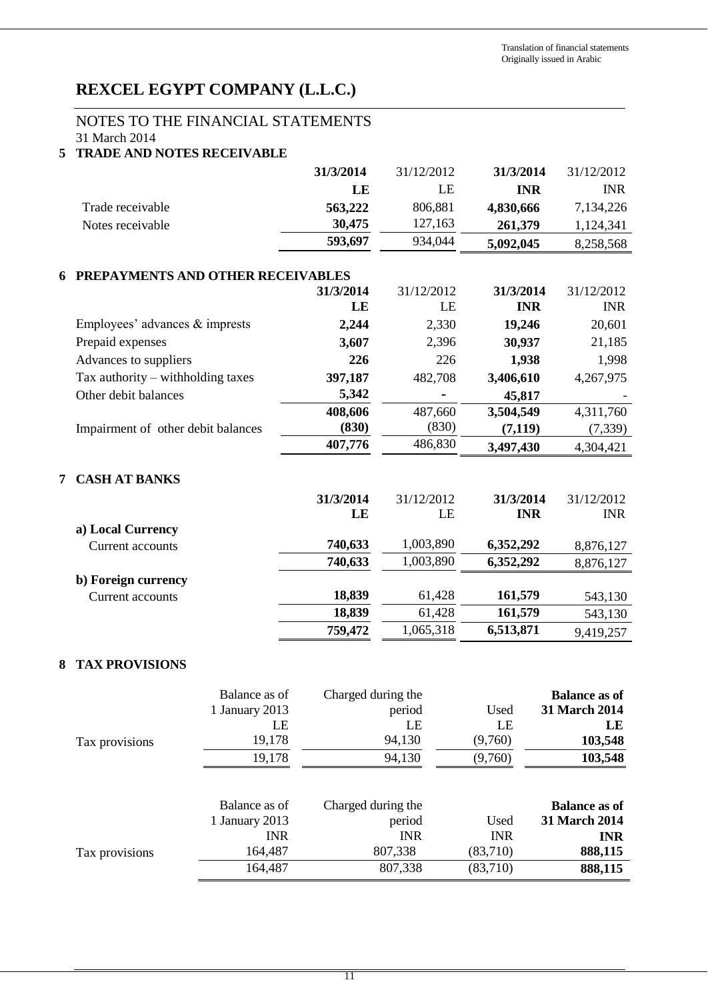## NOTES TO THE FINANCIAL STATEMENTS

31 March 2014

|  | <b>5 TRADE AND NOTES RECEIVABLE</b> |  |  |  |  |
|--|-------------------------------------|--|--|--|--|
|--|-------------------------------------|--|--|--|--|

|   |                                    | 31/3/2014       | 31/12/2012 | 31/3/2014               | 31/12/2012               |
|---|------------------------------------|-----------------|------------|-------------------------|--------------------------|
|   |                                    | LE              | LE         | <b>INR</b>              | <b>INR</b>               |
|   | Trade receivable                   | 563,222         | 806,881    | 4,830,666               | 7,134,226                |
|   | Notes receivable                   | 30,475          | 127,163    | 261,379                 | 1,124,341                |
|   |                                    | 593,697         | 934,044    | 5,092,045               | 8,258,568                |
|   |                                    |                 |            |                         |                          |
| 6 | PREPAYMENTS AND OTHER RECEIVABLES  |                 | 31/12/2012 |                         |                          |
|   |                                    | 31/3/2014<br>LE | LE         | 31/3/2014<br><b>INR</b> | 31/12/2012<br><b>INR</b> |
|   |                                    |                 |            |                         |                          |
|   | Employees' advances $&$ imprests   | 2,244           | 2,330      | 19,246                  | 20,601                   |
|   | Prepaid expenses                   | 3,607           | 2,396      | 30,937                  | 21,185                   |
|   | Advances to suppliers              | 226             | 226        | 1,938                   | 1,998                    |
|   | Tax authority – withholding taxes  | 397,187         | 482,708    | 3,406,610               | 4,267,975                |
|   | Other debit balances               | 5,342           |            | 45,817                  |                          |
|   |                                    | 408,606         | 487,660    | 3,504,549               | 4,311,760                |
|   | Impairment of other debit balances | (830)           | (830)      | (7, 119)                | (7, 339)                 |
|   |                                    | 407,776         | 486,830    | 3,497,430               | 4,304,421                |
| 7 | <b>CASH AT BANKS</b>               |                 |            |                         |                          |
|   |                                    | 31/3/2014       | 31/12/2012 | 31/3/2014               | 31/12/2012               |
|   |                                    | LE              | LE         | <b>INR</b>              | <b>INR</b>               |
|   | a) Local Currency                  |                 |            |                         |                          |
|   | Current accounts                   | 740,633         | 1,003,890  | 6,352,292               | 8,876,127                |
|   |                                    | 740,633         | 1,003,890  | 6,352,292               | 8,876,127                |
|   | b) Foreign currency                |                 |            |                         |                          |
|   | Current accounts                   | 18,839          | 61,428     | 161,579                 | 543,130                  |
|   |                                    | 18,839          | 61,428     | 161,579                 | 543,130                  |
|   |                                    | 759,472         | 1,065,318  | 6,513,871               | 9,419,257                |
| 8 | <b>TAX PROVISIONS</b>              |                 |            |                         |                          |

|                | Balance as of  | Charged during the |            | <b>Balance as of</b> |
|----------------|----------------|--------------------|------------|----------------------|
|                | 1 January 2013 | period             | Used       | 31 March 2014        |
|                | LE             | LE                 | LE         | LE                   |
| Tax provisions | 19,178         | 94,130             | (9,760)    | 103,548              |
|                | 19,178         | 94,130             | (9,760)    | 103,548              |
|                | Balance as of  | Charged during the |            | <b>Balance as of</b> |
|                | 1 January 2013 | period             | Used       | 31 March 2014        |
|                | <b>INR</b>     | <b>INR</b>         | <b>INR</b> | <b>INR</b>           |
| Tax provisions | 164,487        | 807,338            | (83,710)   | 888,115              |
|                | 164,487        | 807,338            | (83,710)   | 888,115              |
|                |                |                    |            |                      |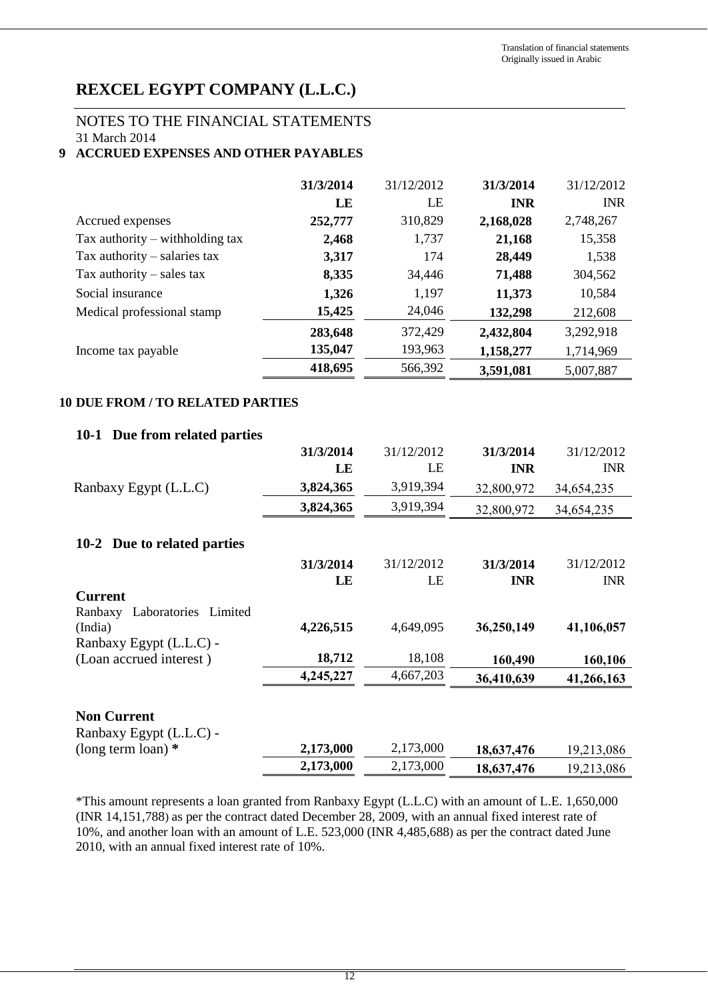## NOTES TO THE FINANCIAL STATEMENTS

31 March 2014

## **9 ACCRUED EXPENSES AND OTHER PAYABLES**

|                                   | 31/3/2014 | 31/12/2012 | 31/3/2014  | 31/12/2012 |
|-----------------------------------|-----------|------------|------------|------------|
|                                   | LE        | LE         | <b>INR</b> | <b>INR</b> |
| Accrued expenses                  | 252,777   | 310,829    | 2,168,028  | 2,748,267  |
| Tax authority $-$ withholding tax | 2,468     | 1,737      | 21,168     | 15,358     |
| Tax authority $-$ salaries tax    | 3,317     | 174        | 28,449     | 1,538      |
| Tax authority $-$ sales tax       | 8,335     | 34,446     | 71,488     | 304,562    |
| Social insurance                  | 1,326     | 1,197      | 11,373     | 10,584     |
| Medical professional stamp        | 15,425    | 24,046     | 132,298    | 212,608    |
|                                   | 283,648   | 372,429    | 2,432,804  | 3,292,918  |
| Income tax payable                | 135,047   | 193,963    | 1,158,277  | 1,714,969  |
|                                   | 418,695   | 566,392    | 3,591,081  | 5,007,887  |

## **10 DUE FROM / TO RELATED PARTIES**

## **10-1 Due from related parties**

|                                                | 31/3/2014<br>LE | 31/12/2012<br>LE | 31/3/2014<br><b>INR</b> | 31/12/2012<br><b>INR</b> |
|------------------------------------------------|-----------------|------------------|-------------------------|--------------------------|
| Ranbaxy Egypt (L.L.C)                          | 3,824,365       | 3,919,394        | 32,800,972              | 34,654,235               |
|                                                |                 |                  |                         |                          |
|                                                | 3,824,365       | 3,919,394        | 32,800,972              | 34,654,235               |
| 10-2 Due to related parties                    |                 |                  |                         |                          |
|                                                | 31/3/2014       | 31/12/2012       | 31/3/2014               | 31/12/2012               |
|                                                | LE              | LE               | <b>INR</b>              | <b>INR</b>               |
| <b>Current</b><br>Ranbaxy Laboratories Limited |                 |                  |                         |                          |
| (India)                                        | 4,226,515       | 4,649,095        | 36,250,149              | 41,106,057               |
| Ranbaxy Egypt (L.L.C) -                        |                 |                  |                         |                          |
| (Loan accrued interest)                        | 18,712          | 18,108           | 160,490                 | 160,106                  |
|                                                | 4,245,227       | 4,667,203        | 36,410,639              | 41,266,163               |
| <b>Non Current</b><br>Ranbaxy Egypt (L.L.C) -  |                 |                  |                         |                          |
| (long term loan) $*$                           | 2,173,000       | 2,173,000        | 18,637,476              | 19,213,086               |
|                                                | 2,173,000       | 2,173,000        | 18,637,476              | 19,213,086               |

\*This amount represents a loan granted from Ranbaxy Egypt (L.L.C) with an amount of L.E. 1,650,000 (INR 14,151,788) as per the contract dated December 28, 2009, with an annual fixed interest rate of 10%, and another loan with an amount of L.E. 523,000 (INR 4,485,688) as per the contract dated June 2010, with an annual fixed interest rate of 10%.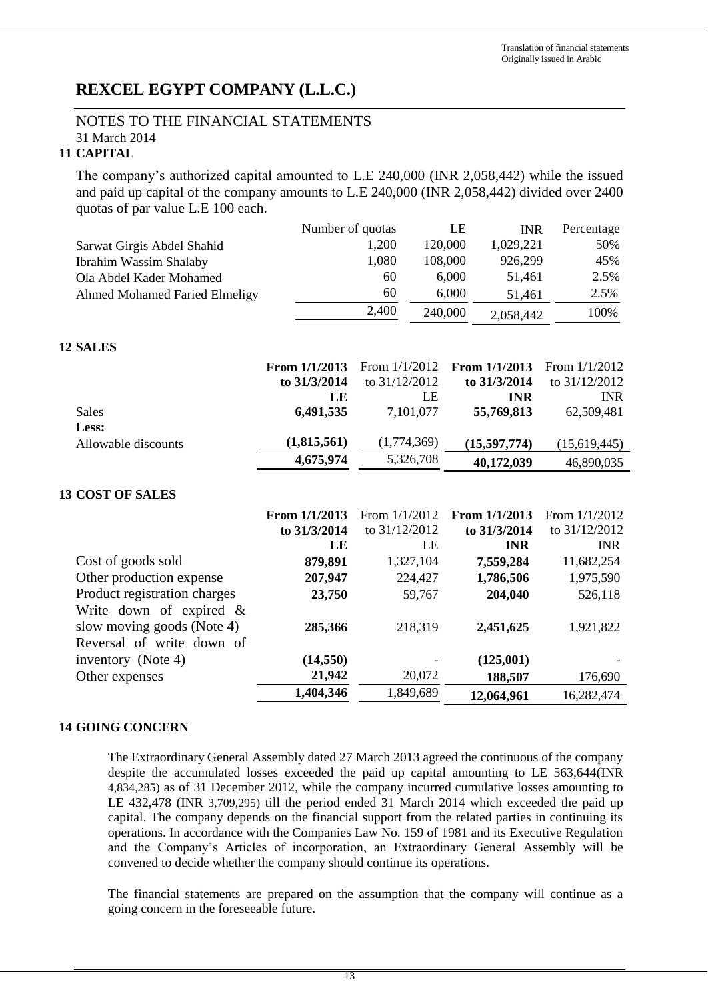### NOTES TO THE FINANCIAL STATEMENTS 31 March 2014

### **11 CAPITAL**

The company's authorized capital amounted to L.E 240,000 (INR 2,058,442) while the issued and paid up capital of the company amounts to L.E 240,000 (INR 2,058,442) divided over 2400 quotas of par value L.E 100 each.

|                                      | Number of quotas |                 |           | LE    | <b>INR</b>    | Percentage      |
|--------------------------------------|------------------|-----------------|-----------|-------|---------------|-----------------|
| Sarwat Girgis Abdel Shahid           |                  | 1,200           | 120,000   |       | 1,029,221     | 50%             |
| <b>Ibrahim Wassim Shalaby</b>        |                  | 1,080           | 108,000   |       | 926,299       | 45%             |
| Ola Abdel Kader Mohamed              |                  | 60              |           | 6,000 | 51,461        | 2.5%            |
| <b>Ahmed Mohamed Faried Elmeligy</b> |                  | 60              |           | 6,000 | 51,461        | 2.5%            |
|                                      |                  | 2,400           | 240,000   |       | 2,058,442     | 100%            |
| <b>12 SALES</b>                      |                  |                 |           |       |               |                 |
|                                      | From 1/1/2013    | From $1/1/2012$ |           |       | From 1/1/2013 | From $1/1/2012$ |
|                                      | to 31/3/2014     | to 31/12/2012   |           |       | to 31/3/2014  | to 31/12/2012   |
|                                      | LE               |                 | LE        |       | <b>INR</b>    | <b>INR</b>      |
| <b>Sales</b>                         | 6,491,535        |                 | 7,101,077 |       | 55,769,813    | 62,509,481      |
| Less:                                |                  |                 |           |       |               |                 |
| Allowable discounts                  | (1,815,561)      | (1,774,369)     |           |       | (15,597,774)  | (15,619,445)    |
|                                      | 4,675,974        |                 | 5,326,708 |       | 40,172,039    | 46,890,035      |
| <b>13 COST OF SALES</b>              |                  |                 |           |       |               |                 |
|                                      | From 1/1/2013    | From 1/1/2012   |           |       | From 1/1/2013 | From 1/1/2012   |
|                                      | to 31/3/2014     | to 31/12/2012   |           |       | to 31/3/2014  | to 31/12/2012   |
|                                      | LE               |                 | LE        |       | <b>INR</b>    | <b>INR</b>      |
| Cost of goods sold                   | 879,891          |                 | 1,327,104 |       | 7,559,284     | 11,682,254      |
| Other production expense             | 207,947          |                 | 224,427   |       | 1,786,506     | 1,975,590       |
| Product registration charges         | 23,750           |                 | 59,767    |       | 204,040       | 526,118         |
| Write down of expired $\&$           |                  |                 |           |       |               |                 |
| slow moving goods (Note 4)           | 285,366          |                 | 218,319   |       | 2,451,625     | 1,921,822       |

# **14 GOING CONCERN**

Reversal of write down of

The Extraordinary General Assembly dated 27 March 2013 agreed the continuous of the company despite the accumulated losses exceeded the paid up capital amounting to LE 563,644(INR 4,834,285) as of 31 December 2012, while the company incurred cumulative losses amounting to LE 432,478 (INR 3,709,295) till the period ended 31 March 2014 which exceeded the paid up capital. The company depends on the financial support from the related parties in continuing its operations. In accordance with the Companies Law No. 159 of 1981 and its Executive Regulation and the Company's Articles of incorporation, an Extraordinary General Assembly will be convened to decide whether the company should continue its operations.

Other expenses **21,942** 20,072 **188,507** 176,690

**1,404,346** 1,849,689 **12,064,961** 16,282,474

inventory (Note 4) **(14,550)** - **(125,001)** -

The financial statements are prepared on the assumption that the company will continue as a going concern in the foreseeable future.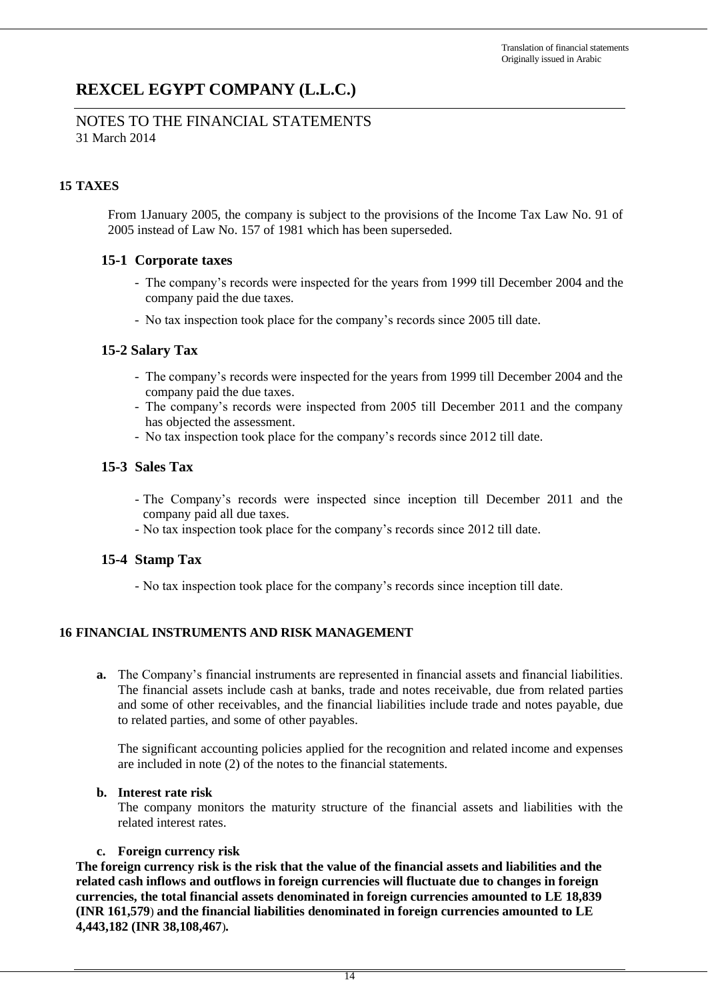## NOTES TO THE FINANCIAL STATEMENTS 31 March 2014

## **15 TAXES**

From 1January 2005, the company is subject to the provisions of the Income Tax Law No. 91 of 2005 instead of Law No. 157 of 1981 which has been superseded.

## **15-1 Corporate taxes**

- The company's records were inspected for the years from 1999 till December 2004 and the company paid the due taxes.
- No tax inspection took place for the company's records since 2005 till date.

## **15-2 Salary Tax**

- The company's records were inspected for the years from 1999 till December 2004 and the company paid the due taxes.
- The company's records were inspected from 2005 till December 2011 and the company has objected the assessment.
- No tax inspection took place for the company's records since 2012 till date.

## **15-3 Sales Tax**

- The Company's records were inspected since inception till December 2011 and the company paid all due taxes.
- No tax inspection took place for the company's records since 2012 till date.

## **15-4 Stamp Tax**

- No tax inspection took place for the company's records since inception till date.

## **16 FINANCIAL INSTRUMENTS AND RISK MANAGEMENT**

**a.** The Company's financial instruments are represented in financial assets and financial liabilities. The financial assets include cash at banks, trade and notes receivable, due from related parties and some of other receivables, and the financial liabilities include trade and notes payable, due to related parties, and some of other payables.

The significant accounting policies applied for the recognition and related income and expenses are included in note (2) of the notes to the financial statements.

### **b. Interest rate risk**

The company monitors the maturity structure of the financial assets and liabilities with the related interest rates.

### **c. Foreign currency risk**

**The foreign currency risk is the risk that the value of the financial assets and liabilities and the related cash inflows and outflows in foreign currencies will fluctuate due to changes in foreign currencies, the total financial assets denominated in foreign currencies amounted to LE 18,839 (INR 161,579**) **and the financial liabilities denominated in foreign currencies amounted to LE 4,443,182 (INR 38,108,467**)*.*